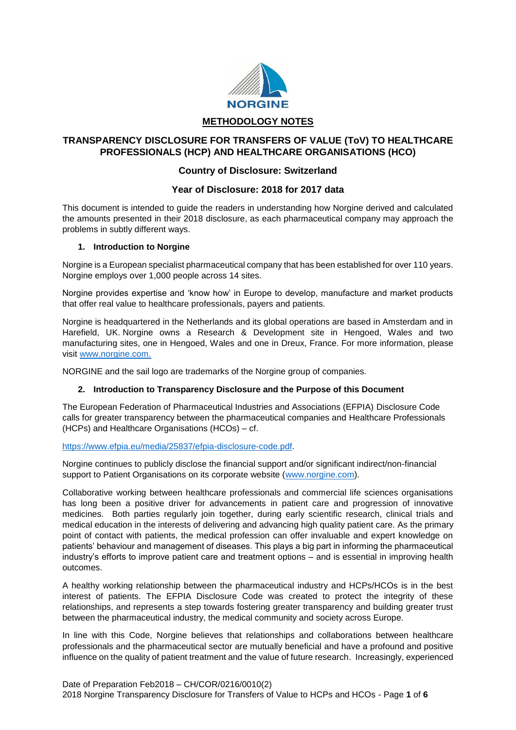

# **TRANSPARENCY DISCLOSURE FOR TRANSFERS OF VALUE (ToV) TO HEALTHCARE PROFESSIONALS (HCP) AND HEALTHCARE ORGANISATIONS (HCO)**

# **Country of Disclosure: Switzerland**

## **Year of Disclosure: 2018 for 2017 data**

This document is intended to guide the readers in understanding how Norgine derived and calculated the amounts presented in their 2018 disclosure, as each pharmaceutical company may approach the problems in subtly different ways.

## **1. Introduction to Norgine**

Norgine is a European specialist pharmaceutical company that has been established for over 110 years. Norgine employs over 1,000 people across 14 sites.

Norgine provides expertise and 'know how' in Europe to develop, manufacture and market products that offer real value to healthcare professionals, payers and patients.

Norgine is headquartered in the Netherlands and its global operations are based in Amsterdam and in Harefield, UK. Norgine owns a Research & Development site in Hengoed, Wales and two manufacturing sites, one in Hengoed, Wales and one in Dreux, France. For more information, please visit [www.norgine.com.](http://www.norgine.com/)

NORGINE and the sail logo are trademarks of the Norgine group of companies.

## **2. Introduction to Transparency Disclosure and the Purpose of this Document**

The European Federation of Pharmaceutical Industries and Associations (EFPIA) Disclosure Code calls for greater transparency between the pharmaceutical companies and Healthcare Professionals (HCPs) and Healthcare Organisations (HCOs) – cf.

## [https://www.efpia.eu/media/25837/efpia-disclosure-code.pdf.](https://www.efpia.eu/media/25837/efpia-disclosure-code.pdf)

Norgine continues to publicly disclose the financial support and/or significant indirect/non-financial support to Patient Organisations on its corporate website [\(www.norgine.com\)](http://www.norgine.com/).

Collaborative working between healthcare professionals and commercial life sciences organisations has long been a positive driver for advancements in patient care and progression of innovative medicines. Both parties regularly join together, during early scientific research, clinical trials and medical education in the interests of delivering and advancing high quality patient care. As the primary point of contact with patients, the medical profession can offer invaluable and expert knowledge on patients' behaviour and management of diseases. This plays a big part in informing the pharmaceutical industry's efforts to improve patient care and treatment options – and is essential in improving health outcomes.

A healthy working relationship between the pharmaceutical industry and HCPs/HCOs is in the best interest of patients. The EFPIA Disclosure Code was created to protect the integrity of these relationships, and represents a step towards fostering greater transparency and building greater trust between the pharmaceutical industry, the medical community and society across Europe.

In line with this Code, Norgine believes that relationships and collaborations between healthcare professionals and the pharmaceutical sector are mutually beneficial and have a profound and positive influence on the quality of patient treatment and the value of future research. Increasingly, experienced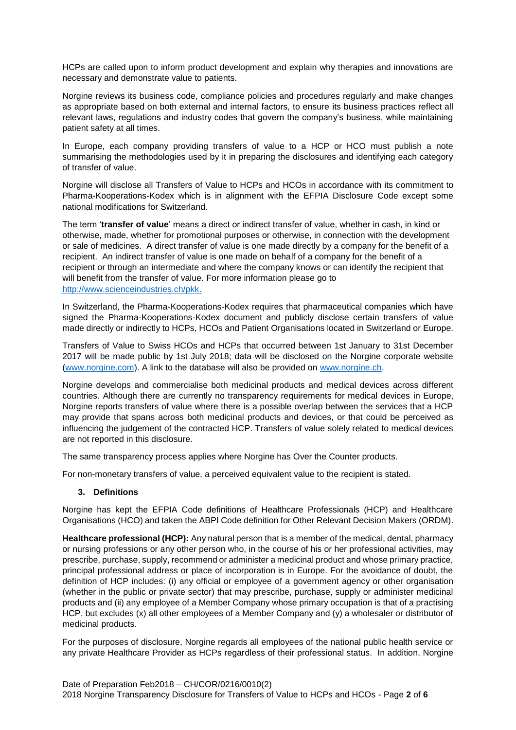HCPs are called upon to inform product development and explain why therapies and innovations are necessary and demonstrate value to patients.

Norgine reviews its business code, compliance policies and procedures regularly and make changes as appropriate based on both external and internal factors, to ensure its business practices reflect all relevant laws, regulations and industry codes that govern the company's business, while maintaining patient safety at all times.

In Europe, each company providing transfers of value to a HCP or HCO must publish a note summarising the methodologies used by it in preparing the disclosures and identifying each category of transfer of value.

Norgine will disclose all Transfers of Value to HCPs and HCOs in accordance with its commitment to Pharma-Kooperations-Kodex which is in alignment with the EFPIA Disclosure Code except some national modifications for Switzerland.

The term '**transfer of value**' means a direct or indirect transfer of value, whether in cash, in kind or otherwise, made, whether for promotional purposes or otherwise, in connection with the development or sale of medicines. A direct transfer of value is one made directly by a company for the benefit of a recipient. An indirect transfer of value is one made on behalf of a company for the benefit of a recipient or through an intermediate and where the company knows or can identify the recipient that will benefit from the transfer of value. For more information please go to [http://www.scienceindustries.ch/pkk.](http://www.scienceindustries.ch/pkk)

In Switzerland, the Pharma-Kooperations-Kodex requires that pharmaceutical companies which have signed the Pharma-Kooperations-Kodex document and publicly disclose certain transfers of value made directly or indirectly to HCPs, HCOs and Patient Organisations located in Switzerland or Europe.

Transfers of Value to Swiss HCOs and HCPs that occurred between 1st January to 31st December 2017 will be made public by 1st July 2018; data will be disclosed on the Norgine corporate website [\(www.norgine.com\)](http://www.norgine.com/). A link to the database will also be provided on [www.norgine.ch.](http://www.norgine.ch/)

Norgine develops and commercialise both medicinal products and medical devices across different countries. Although there are currently no transparency requirements for medical devices in Europe, Norgine reports transfers of value where there is a possible overlap between the services that a HCP may provide that spans across both medicinal products and devices, or that could be perceived as influencing the judgement of the contracted HCP. Transfers of value solely related to medical devices are not reported in this disclosure.

The same transparency process applies where Norgine has Over the Counter products.

For non-monetary transfers of value, a perceived equivalent value to the recipient is stated.

## **3. Definitions**

Norgine has kept the EFPIA Code definitions of Healthcare Professionals (HCP) and Healthcare Organisations (HCO) and taken the ABPI Code definition for Other Relevant Decision Makers (ORDM).

**Healthcare professional (HCP):** Any natural person that is a member of the medical, dental, pharmacy or nursing professions or any other person who, in the course of his or her professional activities, may prescribe, purchase, supply, recommend or administer a medicinal product and whose primary practice, principal professional address or place of incorporation is in Europe. For the avoidance of doubt, the definition of HCP includes: (i) any official or employee of a government agency or other organisation (whether in the public or private sector) that may prescribe, purchase, supply or administer medicinal products and (ii) any employee of a Member Company whose primary occupation is that of a practising HCP, but excludes (x) all other employees of a Member Company and (y) a wholesaler or distributor of medicinal products.

For the purposes of disclosure, Norgine regards all employees of the national public health service or any private Healthcare Provider as HCPs regardless of their professional status. In addition, Norgine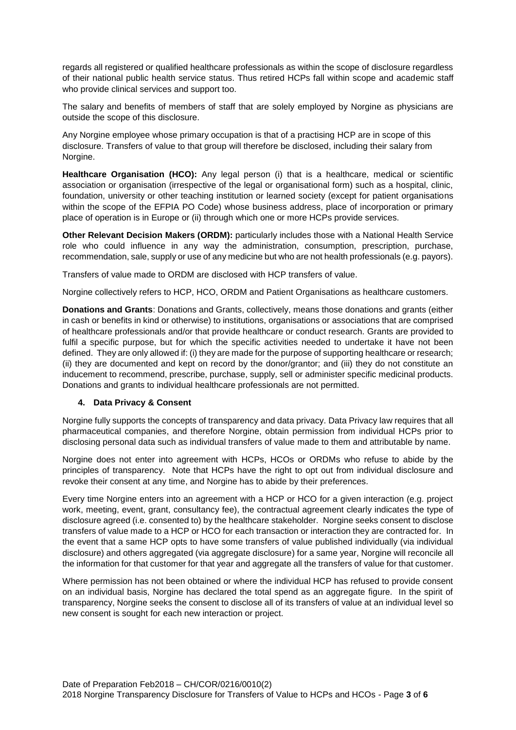regards all registered or qualified healthcare professionals as within the scope of disclosure regardless of their national public health service status. Thus retired HCPs fall within scope and academic staff who provide clinical services and support too.

The salary and benefits of members of staff that are solely employed by Norgine as physicians are outside the scope of this disclosure.

Any Norgine employee whose primary occupation is that of a practising HCP are in scope of this disclosure. Transfers of value to that group will therefore be disclosed, including their salary from Norgine.

**Healthcare Organisation (HCO):** Any legal person (i) that is a healthcare, medical or scientific association or organisation (irrespective of the legal or organisational form) such as a hospital, clinic, foundation, university or other teaching institution or learned society (except for patient organisations within the scope of the EFPIA PO Code) whose business address, place of incorporation or primary place of operation is in Europe or (ii) through which one or more HCPs provide services.

**Other Relevant Decision Makers (ORDM):** particularly includes those with a National Health Service role who could influence in any way the administration, consumption, prescription, purchase, recommendation, sale, supply or use of any medicine but who are not health professionals (e.g. payors).

Transfers of value made to ORDM are disclosed with HCP transfers of value.

Norgine collectively refers to HCP, HCO, ORDM and Patient Organisations as healthcare customers.

**Donations and Grants**: Donations and Grants, collectively, means those donations and grants (either in cash or benefits in kind or otherwise) to institutions, organisations or associations that are comprised of healthcare professionals and/or that provide healthcare or conduct research. Grants are provided to fulfil a specific purpose, but for which the specific activities needed to undertake it have not been defined. They are only allowed if: (i) they are made for the purpose of supporting healthcare or research; (ii) they are documented and kept on record by the donor/grantor; and (iii) they do not constitute an inducement to recommend, prescribe, purchase, supply, sell or administer specific medicinal products. Donations and grants to individual healthcare professionals are not permitted.

## **4. Data Privacy & Consent**

Norgine fully supports the concepts of transparency and data privacy. Data Privacy law requires that all pharmaceutical companies, and therefore Norgine, obtain permission from individual HCPs prior to disclosing personal data such as individual transfers of value made to them and attributable by name.

Norgine does not enter into agreement with HCPs, HCOs or ORDMs who refuse to abide by the principles of transparency. Note that HCPs have the right to opt out from individual disclosure and revoke their consent at any time, and Norgine has to abide by their preferences.

Every time Norgine enters into an agreement with a HCP or HCO for a given interaction (e.g. project work, meeting, event, grant, consultancy fee), the contractual agreement clearly indicates the type of disclosure agreed (i.e. consented to) by the healthcare stakeholder. Norgine seeks consent to disclose transfers of value made to a HCP or HCO for each transaction or interaction they are contracted for. In the event that a same HCP opts to have some transfers of value published individually (via individual disclosure) and others aggregated (via aggregate disclosure) for a same year, Norgine will reconcile all the information for that customer for that year and aggregate all the transfers of value for that customer.

Where permission has not been obtained or where the individual HCP has refused to provide consent on an individual basis, Norgine has declared the total spend as an aggregate figure. In the spirit of transparency, Norgine seeks the consent to disclose all of its transfers of value at an individual level so new consent is sought for each new interaction or project.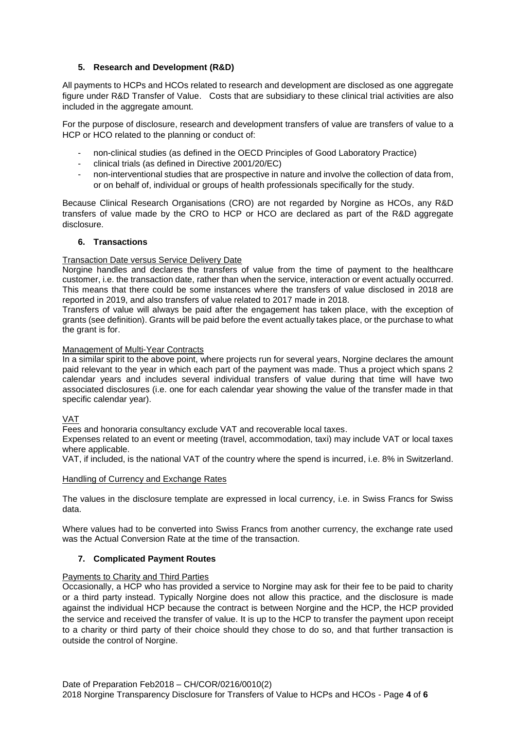## **5. Research and Development (R&D)**

All payments to HCPs and HCOs related to research and development are disclosed as one aggregate figure under R&D Transfer of Value. Costs that are subsidiary to these clinical trial activities are also included in the aggregate amount.

For the purpose of disclosure, research and development transfers of value are transfers of value to a HCP or HCO related to the planning or conduct of:

- non-clinical studies (as defined in the OECD Principles of Good Laboratory Practice)
- clinical trials (as defined in Directive 2001/20/EC)
- non-interventional studies that are prospective in nature and involve the collection of data from, or on behalf of, individual or groups of health professionals specifically for the study.

Because Clinical Research Organisations (CRO) are not regarded by Norgine as HCOs, any R&D transfers of value made by the CRO to HCP or HCO are declared as part of the R&D aggregate disclosure.

### **6. Transactions**

## Transaction Date versus Service Delivery Date

Norgine handles and declares the transfers of value from the time of payment to the healthcare customer, i.e. the transaction date, rather than when the service, interaction or event actually occurred. This means that there could be some instances where the transfers of value disclosed in 2018 are reported in 2019, and also transfers of value related to 2017 made in 2018.

Transfers of value will always be paid after the engagement has taken place, with the exception of grants (see definition). Grants will be paid before the event actually takes place, or the purchase to what the grant is for.

#### Management of Multi-Year Contracts

In a similar spirit to the above point, where projects run for several years, Norgine declares the amount paid relevant to the year in which each part of the payment was made. Thus a project which spans 2 calendar years and includes several individual transfers of value during that time will have two associated disclosures (i.e. one for each calendar year showing the value of the transfer made in that specific calendar year).

#### VAT

Fees and honoraria consultancy exclude VAT and recoverable local taxes.

Expenses related to an event or meeting (travel, accommodation, taxi) may include VAT or local taxes where applicable.

VAT, if included, is the national VAT of the country where the spend is incurred, i.e. 8% in Switzerland.

#### Handling of Currency and Exchange Rates

The values in the disclosure template are expressed in local currency, i.e. in Swiss Francs for Swiss data.

Where values had to be converted into Swiss Francs from another currency, the exchange rate used was the Actual Conversion Rate at the time of the transaction.

## **7. Complicated Payment Routes**

## Payments to Charity and Third Parties

Occasionally, a HCP who has provided a service to Norgine may ask for their fee to be paid to charity or a third party instead. Typically Norgine does not allow this practice, and the disclosure is made against the individual HCP because the contract is between Norgine and the HCP, the HCP provided the service and received the transfer of value. It is up to the HCP to transfer the payment upon receipt to a charity or third party of their choice should they chose to do so, and that further transaction is outside the control of Norgine.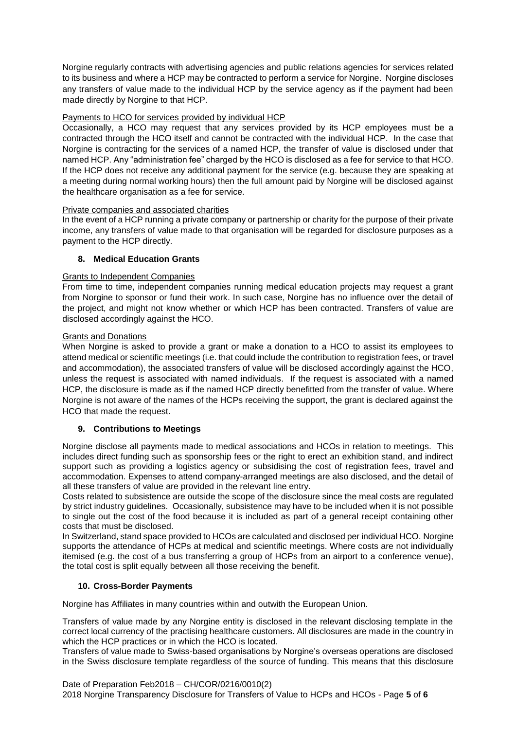Norgine regularly contracts with advertising agencies and public relations agencies for services related to its business and where a HCP may be contracted to perform a service for Norgine. Norgine discloses any transfers of value made to the individual HCP by the service agency as if the payment had been made directly by Norgine to that HCP.

## Payments to HCO for services provided by individual HCP

Occasionally, a HCO may request that any services provided by its HCP employees must be a contracted through the HCO itself and cannot be contracted with the individual HCP. In the case that Norgine is contracting for the services of a named HCP, the transfer of value is disclosed under that named HCP. Any "administration fee" charged by the HCO is disclosed as a fee for service to that HCO. If the HCP does not receive any additional payment for the service (e.g. because they are speaking at a meeting during normal working hours) then the full amount paid by Norgine will be disclosed against the healthcare organisation as a fee for service.

## Private companies and associated charities

In the event of a HCP running a private company or partnership or charity for the purpose of their private income, any transfers of value made to that organisation will be regarded for disclosure purposes as a payment to the HCP directly.

## **8. Medical Education Grants**

## Grants to Independent Companies

From time to time, independent companies running medical education projects may request a grant from Norgine to sponsor or fund their work. In such case, Norgine has no influence over the detail of the project, and might not know whether or which HCP has been contracted. Transfers of value are disclosed accordingly against the HCO.

## Grants and Donations

When Norgine is asked to provide a grant or make a donation to a HCO to assist its employees to attend medical or scientific meetings (i.e. that could include the contribution to registration fees, or travel and accommodation), the associated transfers of value will be disclosed accordingly against the HCO, unless the request is associated with named individuals. If the request is associated with a named HCP, the disclosure is made as if the named HCP directly benefitted from the transfer of value. Where Norgine is not aware of the names of the HCPs receiving the support, the grant is declared against the HCO that made the request.

## **9. Contributions to Meetings**

Norgine disclose all payments made to medical associations and HCOs in relation to meetings. This includes direct funding such as sponsorship fees or the right to erect an exhibition stand, and indirect support such as providing a logistics agency or subsidising the cost of registration fees, travel and accommodation. Expenses to attend company-arranged meetings are also disclosed, and the detail of all these transfers of value are provided in the relevant line entry.

Costs related to subsistence are outside the scope of the disclosure since the meal costs are regulated by strict industry guidelines. Occasionally, subsistence may have to be included when it is not possible to single out the cost of the food because it is included as part of a general receipt containing other costs that must be disclosed.

In Switzerland, stand space provided to HCOs are calculated and disclosed per individual HCO. Norgine supports the attendance of HCPs at medical and scientific meetings. Where costs are not individually itemised (e.g. the cost of a bus transferring a group of HCPs from an airport to a conference venue), the total cost is split equally between all those receiving the benefit.

# **10. Cross-Border Payments**

Norgine has Affiliates in many countries within and outwith the European Union.

Transfers of value made by any Norgine entity is disclosed in the relevant disclosing template in the correct local currency of the practising healthcare customers. All disclosures are made in the country in which the HCP practices or in which the HCO is located.

Transfers of value made to Swiss-based organisations by Norgine's overseas operations are disclosed in the Swiss disclosure template regardless of the source of funding. This means that this disclosure